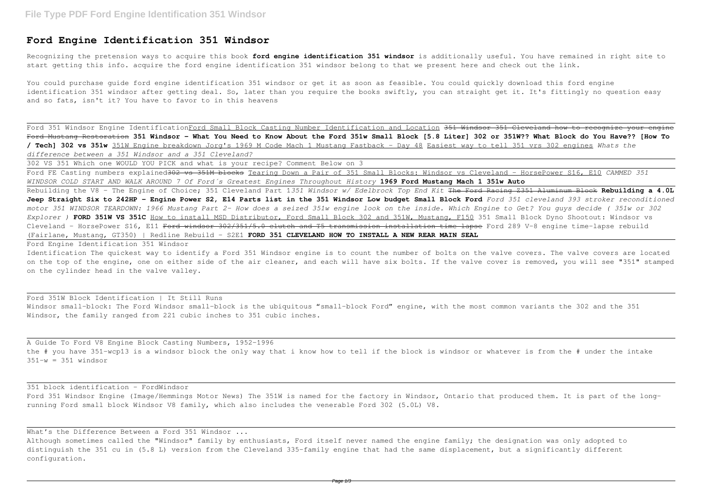## **Ford Engine Identification 351 Windsor**

Recognizing the pretension ways to acquire this book **ford engine identification 351 windsor** is additionally useful. You have remained in right site to start getting this info. acquire the ford engine identification 351 windsor belong to that we present here and check out the link.

You could purchase guide ford engine identification 351 windsor or get it as soon as feasible. You could quickly download this ford engine identification 351 windsor after getting deal. So, later than you require the books swiftly, you can straight get it. It's fittingly no question easy and so fats, isn't it? You have to favor to in this heavens

Ford 351 Windsor Engine IdentificationFord Small Block Casting Number Identification and Location <del>351 Windsor 351 Cleveland how to recognize your engine</del> Ford Mustang Restoration **351 Windsor – What You Need to Know About the Ford 351w Small Block [5.8 Liter] 302 or 351W?? What Block do You Have?? [How To / Tech] 302 vs 351w** 351W Engine breakdown Jorg's 1969 M Code Mach 1 Mustang Fastback - Day 48 Easiest way to tell 351 vrs 302 engines *Whats the difference between a 351 Windsor and a 351 Cleveland?*

302 VS 351 Which one WOULD YOU PICK and what is your recipe? Comment Below on 3

A Guide To Ford V8 Engine Block Casting Numbers, 1952-1996 the # you have 351-wcp13 is a windsor block the only way that i know how to tell if the block is windsor or whatever is from the # under the intake  $351-w = 351$  windsor

Ford FE Casting numbers explained302 vs 351M blocks Tearing Down a Pair of 351 Small Blocks: Windsor vs Cleveland - HorsePower S16, E10 *CAMMED 351 WINDSOR COLD START AND WALK AROUND 7 Of Ford´s Greatest Engines Throughout History* **1969 Ford Mustang Mach 1 351w Auto** Rebuilding the V8 - The Engine of Choice; 351 Cleveland Part 1*351 Windsor w/ Edelbrock Top End Kit* The Ford Racing Z351 Aluminum Block **Rebuilding a 4.0L Jeep Straight Six to 242HP - Engine Power S2, E14 Parts list in the 351 Windsor Low budget Small Block Ford** *Ford 351 cleveland 393 stroker reconditioned motor 351 WINDSOR TEARDOWN: 1966 Mustang Part 2- How does a seized 351w engine look on the inside. Which Engine to Get? You guys decide ( 351w or 302 Explorer )* **FORD 351W VS 351C** How to install MSD Distributor, Ford Small Block 302 and 351W, Mustang, F150 351 Small Block Dyno Shootout: Windsor vs Cleveland - HorsePower S16, E11 Ford windsor 302/351/5.0 clutch and T5 transmission installation time lapse Ford 289 V-8 engine time-lapse rebuild (Fairlane, Mustang, GT350) | Redline Rebuild - S2E1 **FORD 351 CLEVELAND HOW TO INSTALL A NEW REAR MAIN SEAL**

Ford Engine Identification 351 Windsor

Identification The quickest way to identify a Ford 351 Windsor engine is to count the number of bolts on the valve covers. The valve covers are located on the top of the engine, one on either side of the air cleaner, and each will have six bolts. If the valve cover is removed, you will see "351" stamped on the cylinder head in the valve valley.

Ford 351W Block Identification | It Still Runs Windsor small-block: The Ford Windsor small-block is the ubiquitous "small-block Ford" engine, with the most common variants the 302 and the 351 Windsor, the family ranged from 221 cubic inches to 351 cubic inches.

351 block identification - FordWindsor

Ford 351 Windsor Engine (Image/Hemmings Motor News) The 351W is named for the factory in Windsor, Ontario that produced them. It is part of the longrunning Ford small block Windsor V8 family, which also includes the venerable Ford 302 (5.0L) V8.

What's the Difference Between a Ford 351 Windsor ...

Although sometimes called the "Windsor" family by enthusiasts, Ford itself never named the engine family; the designation was only adopted to distinguish the 351 cu in (5.8 L) version from the Cleveland 335-family engine that had the same displacement, but a significantly different configuration.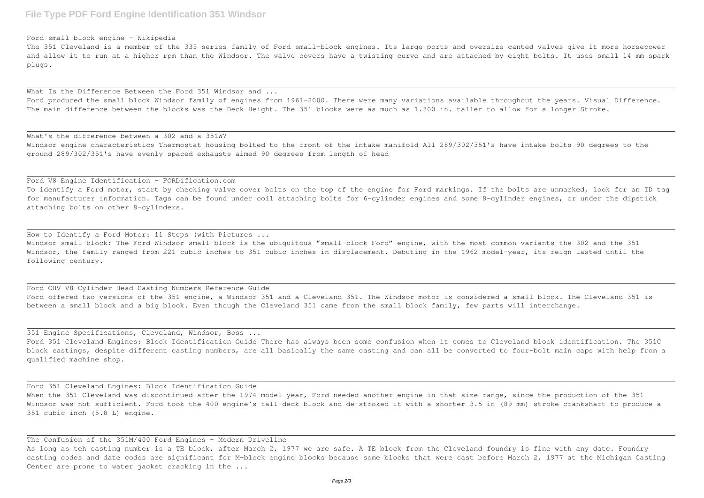## Ford small block engine - Wikipedia

The 351 Cleveland is a member of the 335 series family of Ford small-block engines. Its large ports and oversize canted valves give it more horsepower and allow it to run at a higher rpm than the Windsor. The valve covers have a twisting curve and are attached by eight bolts. It uses small 14 mm spark plugs.

What Is the Difference Between the Ford 351 Windsor and ... Ford produced the small block Windsor family of engines from 1961-2000. There were many variations available throughout the years. Visual Difference. The main difference between the blocks was the Deck Height. The 351 blocks were as much as 1.300 in. taller to allow for a longer Stroke.

To identify a Ford motor, start by checking valve cover bolts on the top of the engine for Ford markings. If the bolts are unmarked, look for an ID tag for manufacturer information. Tags can be found under coil attaching bolts for 6-cylinder engines and some 8-cylinder engines, or under the dipstick attaching bolts on other 8-cylinders.

What's the difference between a 302 and a 351W? Windsor engine characteristics Thermostat housing bolted to the front of the intake manifold All 289/302/351's have intake bolts 90 degrees to the ground 289/302/351's have evenly spaced exhausts aimed 90 degrees from length of head

## Ford V8 Engine Identification - FORDification.com

How to Identify a Ford Motor: 11 Steps (with Pictures ... Windsor small-block: The Ford Windsor small-block is the ubiquitous "small-block Ford" engine, with the most common variants the 302 and the 351 Windsor, the family ranged from 221 cubic inches to 351 cubic inches in displacement. Debuting in the 1962 model-year, its reign lasted until the following century.

Ford OHV V8 Cylinder Head Casting Numbers Reference Guide Ford offered two versions of the 351 engine, a Windsor 351 and a Cleveland 351. The Windsor motor is considered a small block. The Cleveland 351 is between a small block and a big block. Even though the Cleveland 351 came from the small block family, few parts will interchange.

351 Engine Specifications, Cleveland, Windsor, Boss ... Ford 351 Cleveland Engines: Block Identification Guide There has always been some confusion when it comes to Cleveland block identification. The 351C block castings, despite different casting numbers, are all basically the same casting and can all be converted to four-bolt main caps with help from a qualified machine shop.

Ford 351 Cleveland Engines: Block Identification Guide When the 351 Cleveland was discontinued after the 1974 model year, Ford needed another engine in that size range, since the production of the 351 Windsor was not sufficient. Ford took the 400 engine's tall-deck block and de-stroked it with a shorter 3.5 in (89 mm) stroke crankshaft to produce a 351 cubic inch (5.8 L) engine.

The Confusion of the 351M/400 Ford Engines - Modern Driveline As long as teh casting number is a TE block, after March 2, 1977 we are safe. A TE block from the Cleveland foundry is fine with any date. Foundry casting codes and date codes are significant for M-block engine blocks because some blocks that were cast before March 2, 1977 at the Michigan Casting Center are prone to water jacket cracking in the ...